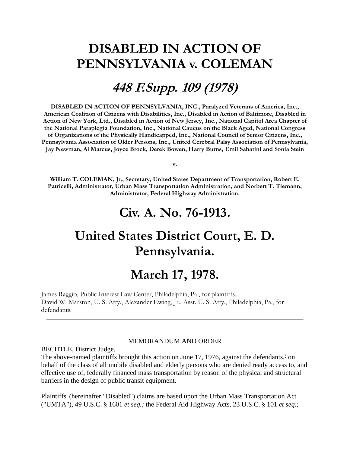# **DISABLED IN ACTION OF PENNSYLVANIA v. COLEMAN**

## **448 F.Supp. 109 (1978)**

**DISABLED IN ACTION OF PENNSYLVANIA, INC., Paralyzed Veterans of America, Inc., American Coalition of Citizens with Disabilities, Inc., Disabled in Action of Baltimore, Disabled in Action of New York, Ltd., Disabled in Action of New Jersey, Inc., National Capitol Area Chapter of the National Paraplegia Foundation, Inc., National Caucus on the Black Aged, National Congress of Organizations of the Physically Handicapped, Inc., National Council of Senior Citizens, Inc., Pennsylvania Association of Older Persons, Inc., United Cerebral Palsy Association of Pennsylvania, Jay Newman, Al Marcus, Joyce Brock, Derek Bowen, Harry Burns, Emil Sabatini and Sonia Stein**

**William T. COLEMAN, Jr., Secretary, United States Department of Transportation, Robert E. Patricelli, Administrator, Urban Mass Transportation Administration, and Norbert T. Tiemann, Administrator, Federal Highway Administration.** 

**v.**

### **Civ. A. No. 76-1913.**

# **United States District Court, E. D. Pennsylvania.**

## **March 17, 1978.**

James Raggio, Public Interest Law Center, Philadelphia, Pa., for plaintiffs. David W. Marston, U. S. Atty., Alexander Ewing, Jr., Asst. U. S. Atty., Philadelphia, Pa., for defendants.

#### MEMORANDUM AND ORDER

BECHTLE, District Judge.

The above-named plaintiffs brought this action on June 17[,](http://www.leagle.com/xmlResult.aspx?xmldoc=1978557448FSupp109_1532.xml&docbase=CSLWAR1-1950-1985#FN_1) 1976, against the defendants, $\dot{\ }$  on behalf of the class of all mobile disabled and elderly persons who are denied ready access to, and effective use of, federally financed mass transportation by reason of the physical and structural barriers in the design of public transit equipment.

Plaintiffs' (hereinafter "Disabled") claims are based upon the Urban Mass Transportation Act ("UMTA"), 49 U.S.C. § 1601 *et seq.;* the Federal Aid Highway Acts, 23 U.S.C. § 101 *et seq.;*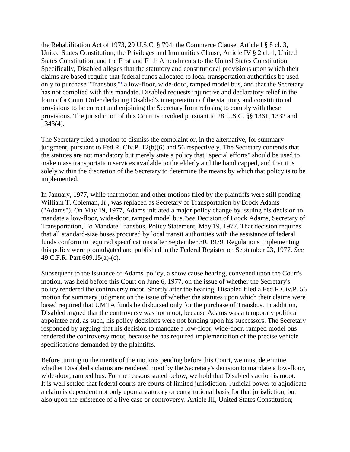the Rehabilitation Act of 1973, 29 U.S.C. § 794; the Commerce Clause, Article I § 8 cl. 3, United States Constitution; the Privileges and Immunities Clause, Article IV § 2 cl. 1, United States Constitution; and the First and Fifth Amendments to the United States Constitution. Specifically, Disabled alleges that the statutory and constitutional provisions upon which their claims are based require that federal funds allocated to local transportation authorities be used only to purchase ["](http://www.leagle.com/xmlResult.aspx?xmldoc=1978557448FSupp109_1532.xml&docbase=CSLWAR1-1950-1985#FN_2)Transbus,"<sup>1</sup> a low-floor, wide-door, ramped model bus, and that the Secretary has not complied with this mandate. Disabled requests injunctive and declaratory relief in the form of a Court Order declaring Disabled's interpretation of the statutory and constitutional provisions to be correct and enjoining the Secretary from refusing to comply with these provisions. The jurisdiction of this Court is invoked pursuant to 28 U.S.C. §§ 1361, 1332 and 1343(4).

The Secretary filed a motion to dismiss the complaint or, in the alternative, for summary judgment, pursuant to Fed.R. Civ.P. 12(b)(6) and 56 respectively. The Secretary contends that the statutes are not mandatory but merely state a policy that "special efforts" should be used to make mass transportation services available to the elderly and the handicapped, and that it is solely within the discretion of the Secretary to determine the means by which that policy is to be implemented.

In January, 1977, while that motion and other motions filed by the plaintiffs were still pending, William T. Coleman, Jr., was replaced as Secretary of Transportation by Brock Adams ("Adams"). On May 19, 1977, Adams initiated a major policy change by issuing his decision to mandate a low-floor, wide-door, ramped model bus.2*[S](http://www.leagle.com/xmlResult.aspx?xmldoc=1978557448FSupp109_1532.xml&docbase=CSLWAR1-1950-1985#FN_3)ee* Decision of Brock Adams, Secretary of Transportation, To Mandate Transbus, Policy Statement, May 19, 1977. That decision requires that all standard-size buses procured by local transit authorities with the assistance of federal funds conform to required specifications after September 30, 1979. Regulations implementing this policy were promulgated and published in the Federal Register on September 23, 1977. *See* 49 C.F.R. Part 609.15(a)-(c).

Subsequent to the issuance of Adams' policy, a show cause hearing, convened upon the Court's motion, was held before this Court on June 6, 1977, on the issue of whether the Secretary's policy rendered the controversy moot. Shortly after the hearing, Disabled filed a Fed.R.Civ.P. 56 motion for summary judgment on the issue of whether the statutes upon which their claims were based required that UMTA funds be disbursed only for the purchase of Transbus. In addition, Disabled argued that the controversy was not moot, because Adams was a temporary political appointee and, as such, his policy decisions were not binding upon his successors. The Secretary responded by arguing that his decision to mandate a low-floor, wide-door, ramped model bus rendered the controversy moot, because he has required implementation of the precise vehicle specifications demanded by the plaintiffs.

Before turning to the merits of the motions pending before this Court, we must determine whether Disabled's claims are rendered moot by the Secretary's decision to mandate a low-floor, wide-door, ramped bus. For the reasons stated below, we hold that Disabled's action is moot. It is well settled that federal courts are courts of limited jurisdiction. Judicial power to adjudicate a claim is dependent not only upon a statutory or constitutional basis for that jurisdiction, but also upon the existence of a live case or controversy. Article III, United States Constitution;